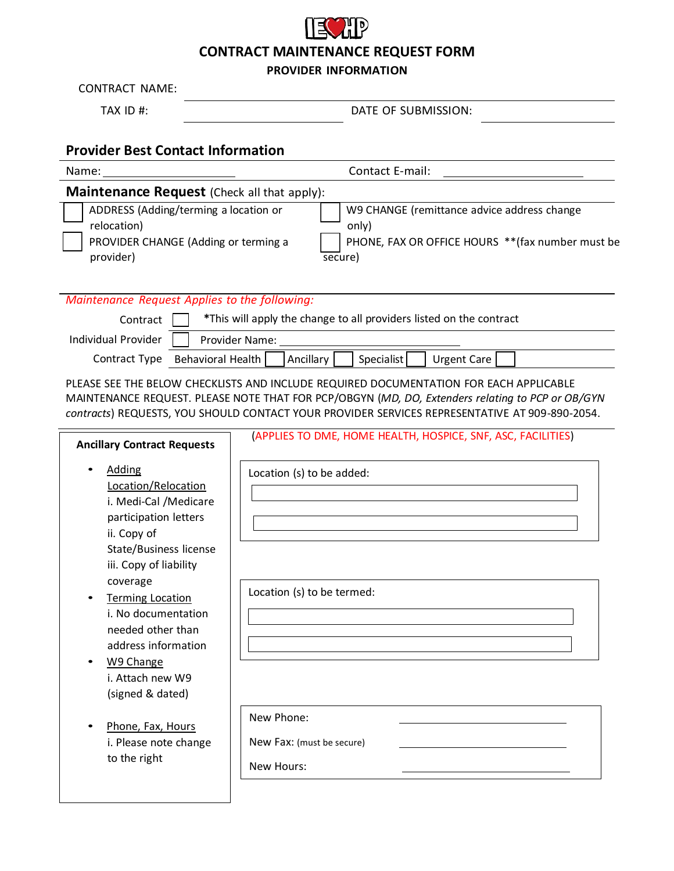## **CONTRACT MAINTENANCE REQUEST FORM**

## **PROVIDER INFORMATION**

CONTRACT NAME:

TAX ID #:  $DATE OF SUBMISSION:$ 

## **Provider Best Contact Information**

| Name:                                                                                                     | Contact E-mail:                                                                                                      |
|-----------------------------------------------------------------------------------------------------------|----------------------------------------------------------------------------------------------------------------------|
| <b>Maintenance Request (Check all that apply):</b>                                                        |                                                                                                                      |
| ADDRESS (Adding/terming a location or<br>relocation)<br>PROVIDER CHANGE (Adding or terming a<br>provider) | W9 CHANGE (remittance advice address change<br>only)<br>PHONE, FAX OR OFFICE HOURS ** (fax number must be<br>secure) |

*Maintenance Request Applies to the following:*

| Contract            | *This will apply the change to all providers listed on the contract        |
|---------------------|----------------------------------------------------------------------------|
| Individual Provider | Provider Name:                                                             |
|                     | Ancillary<br>Specialist   Urgent Care  <br>Contract Type Behavioral Health |

PLEASE SEE THE BELOW CHECKLISTS AND INCLUDE REQUIRED DOCUMENTATION FOR EACH APPLICABLE MAINTENANCE REQUEST. PLEASE NOTE THAT FOR PCP/OBGYN (*MD, DO, Extenders relating to PCP or OB/GYN contracts*) REQUESTS, YOU SHOULD CONTACT YOUR PROVIDER SERVICES REPRESENTATIVE AT 909‐890‐2054.

| <b>Ancillary Contract Requests</b>                                                                                                                                                                                                                                                                                                    | (APPLIES TO DME, HOME HEALTH, HOSPICE, SNF, ASC, FACILITIES) |
|---------------------------------------------------------------------------------------------------------------------------------------------------------------------------------------------------------------------------------------------------------------------------------------------------------------------------------------|--------------------------------------------------------------|
| <b>Adding</b><br>Location/Relocation<br>i. Medi-Cal /Medicare<br>participation letters<br>ii. Copy of<br>State/Business license<br>iii. Copy of liability<br>coverage<br><b>Terming Location</b><br>i. No documentation<br>needed other than<br>address information<br>W9 Change<br>$\bullet$<br>i. Attach new W9<br>(signed & dated) | Location (s) to be added:<br>Location (s) to be termed:      |
| Phone, Fax, Hours<br>i. Please note change<br>to the right                                                                                                                                                                                                                                                                            | New Phone:<br>New Fax: (must be secure)<br>New Hours:        |